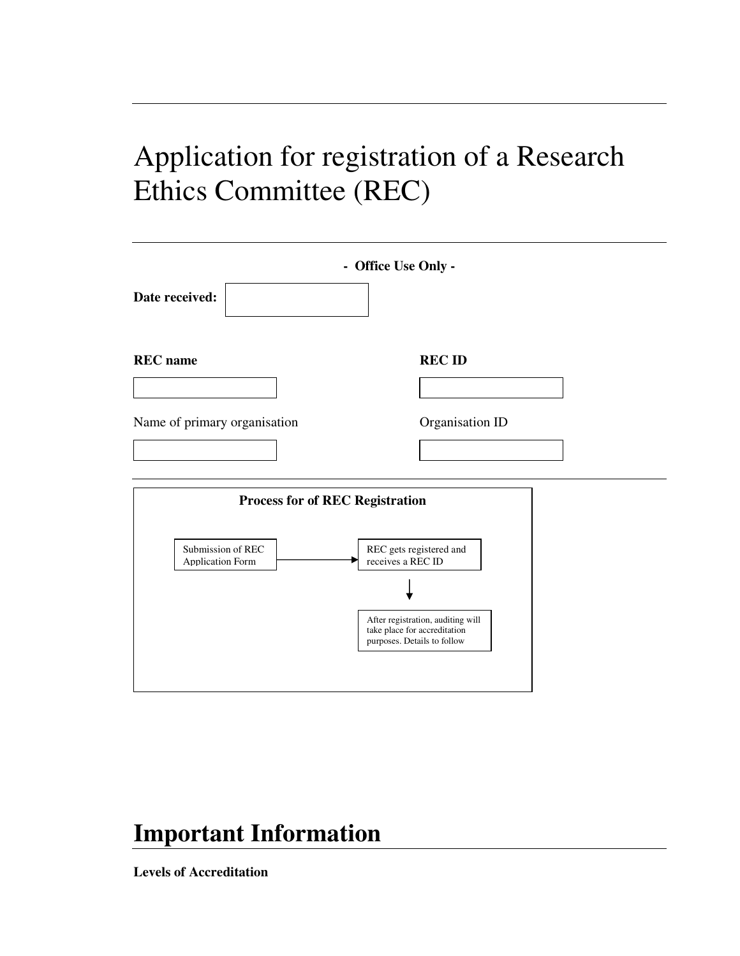# Application for registration of a Research Ethics Committee (REC)

| Date received:                               | - Office Use Only -                                                                              |
|----------------------------------------------|--------------------------------------------------------------------------------------------------|
| <b>REC</b> name                              | <b>REC ID</b>                                                                                    |
|                                              |                                                                                                  |
| Name of primary organisation                 | Organisation ID                                                                                  |
|                                              |                                                                                                  |
| <b>Process for of REC Registration</b>       |                                                                                                  |
| Submission of REC<br><b>Application Form</b> | REC gets registered and<br>receives a REC ID                                                     |
|                                              |                                                                                                  |
|                                              | After registration, auditing will<br>take place for accreditation<br>purposes. Details to follow |

# **Important Information**

**Levels of Accreditation**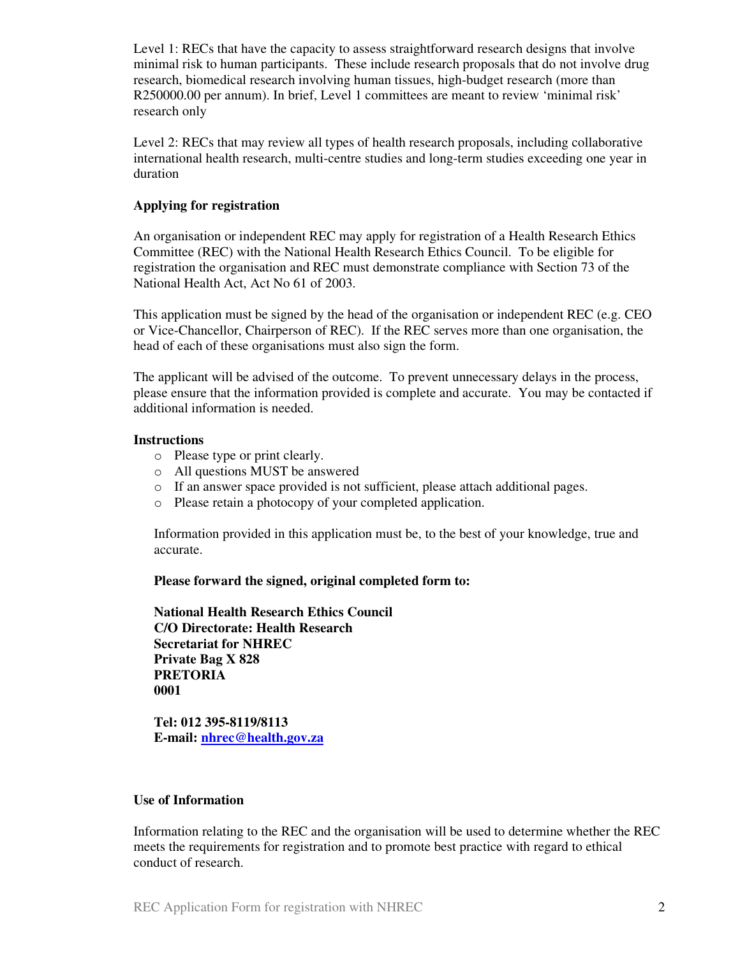Level 1: RECs that have the capacity to assess straightforward research designs that involve minimal risk to human participants. These include research proposals that do not involve drug research, biomedical research involving human tissues, high-budget research (more than R250000.00 per annum). In brief, Level 1 committees are meant to review 'minimal risk' research only

Level 2: RECs that may review all types of health research proposals, including collaborative international health research, multi-centre studies and long-term studies exceeding one year in duration

#### **Applying for registration**

An organisation or independent REC may apply for registration of a Health Research Ethics Committee (REC) with the National Health Research Ethics Council. To be eligible for registration the organisation and REC must demonstrate compliance with Section 73 of the National Health Act, Act No 61 of 2003.

This application must be signed by the head of the organisation or independent REC (e.g. CEO or Vice-Chancellor, Chairperson of REC). If the REC serves more than one organisation, the head of each of these organisations must also sign the form.

The applicant will be advised of the outcome. To prevent unnecessary delays in the process, please ensure that the information provided is complete and accurate. You may be contacted if additional information is needed.

#### **Instructions**

- o Please type or print clearly.
- o All questions MUST be answered
- o If an answer space provided is not sufficient, please attach additional pages.
- o Please retain a photocopy of your completed application.

Information provided in this application must be, to the best of your knowledge, true and accurate.

**Please forward the signed, original completed form to:** 

**National Health Research Ethics Council C/O Directorate: Health Research Secretariat for NHREC Private Bag X 828 PRETORIA 0001** 

**Tel: 012 395-8119/8113 E-mail: nhrec@health.gov.za**

#### **Use of Information**

Information relating to the REC and the organisation will be used to determine whether the REC meets the requirements for registration and to promote best practice with regard to ethical conduct of research.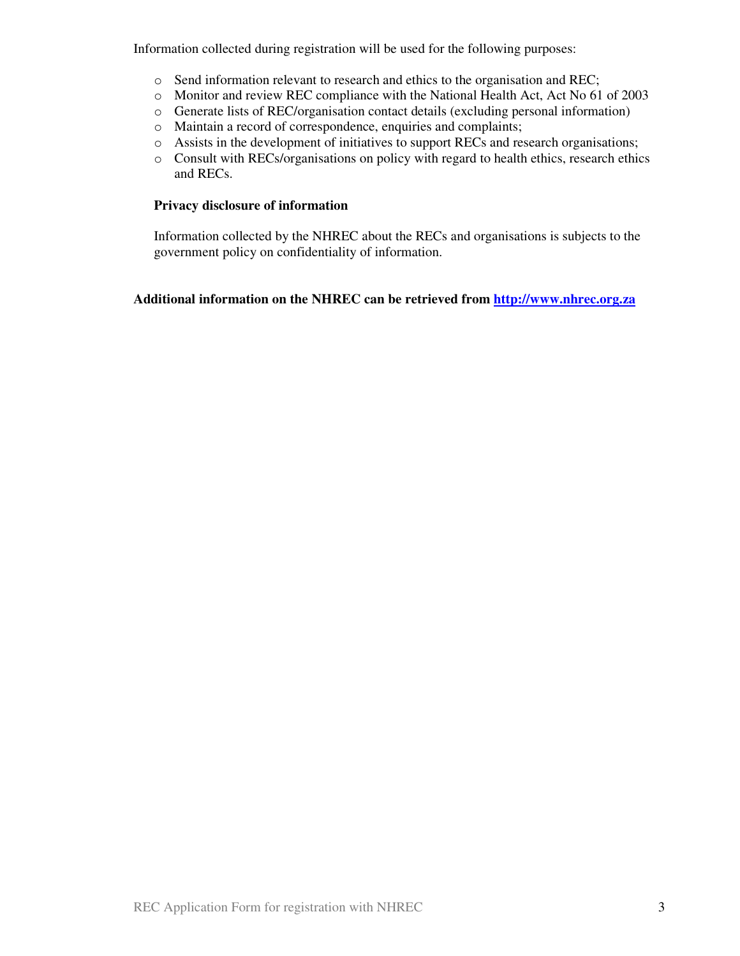Information collected during registration will be used for the following purposes:

- o Send information relevant to research and ethics to the organisation and REC;
- o Monitor and review REC compliance with the National Health Act, Act No 61 of 2003
- o Generate lists of REC/organisation contact details (excluding personal information)
- o Maintain a record of correspondence, enquiries and complaints;
- o Assists in the development of initiatives to support RECs and research organisations;
- o Consult with RECs/organisations on policy with regard to health ethics, research ethics and RECs.

#### **Privacy disclosure of information**

Information collected by the NHREC about the RECs and organisations is subjects to the government policy on confidentiality of information.

# **Additional information on the NHREC can be retrieved from http://www.nhrec.org.za**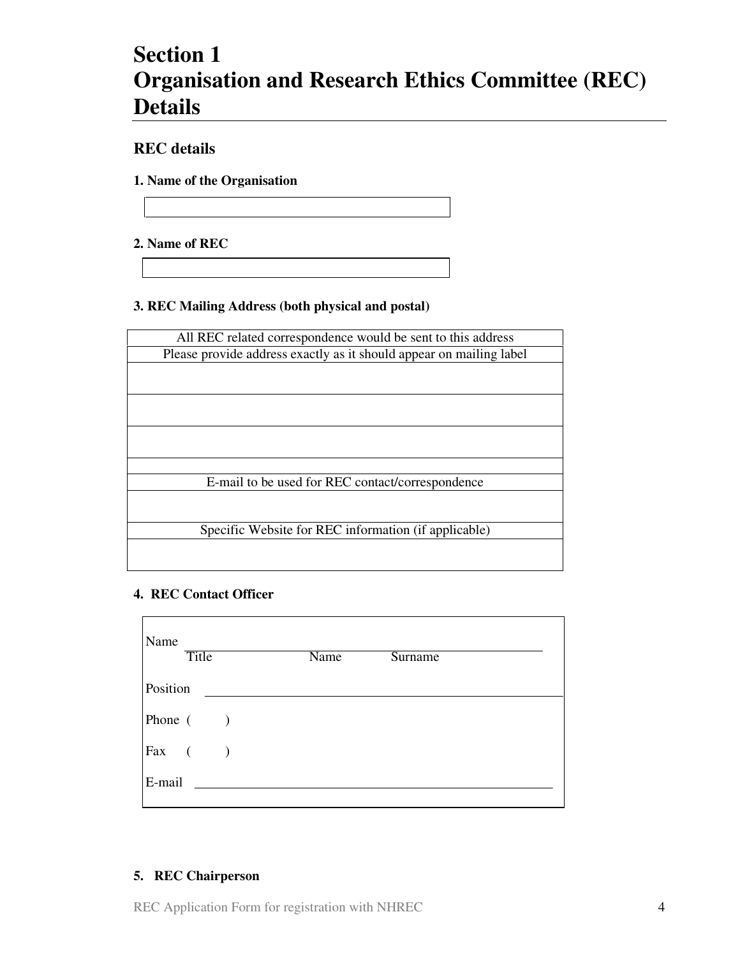# **Section 1 Organisation and Research Ethics Committee (REC) Details**

# **REC details**

**1. Name of the Organisation** 

**2. Name of REC** 

# **3. REC Mailing Address (both physical and postal)**

| All REC related correspondence would be sent to this address        |
|---------------------------------------------------------------------|
| Please provide address exactly as it should appear on mailing label |
|                                                                     |
|                                                                     |
|                                                                     |
|                                                                     |
|                                                                     |
|                                                                     |
|                                                                     |
| E-mail to be used for REC contact/correspondence                    |
|                                                                     |
|                                                                     |
| Specific Website for REC information (if applicable)                |
|                                                                     |
|                                                                     |

# **4. REC Contact Officer**

| Name<br><b>Title</b>                               | Name | <b>Surname</b> |
|----------------------------------------------------|------|----------------|
| Position                                           |      |                |
| Phone $($ )                                        |      |                |
| $\begin{bmatrix} \text{Fax} & ( & ) \end{bmatrix}$ |      |                |
| E-mail                                             |      |                |
|                                                    |      |                |

# **5. REC Chairperson**

REC Application Form for registration with NHREC 4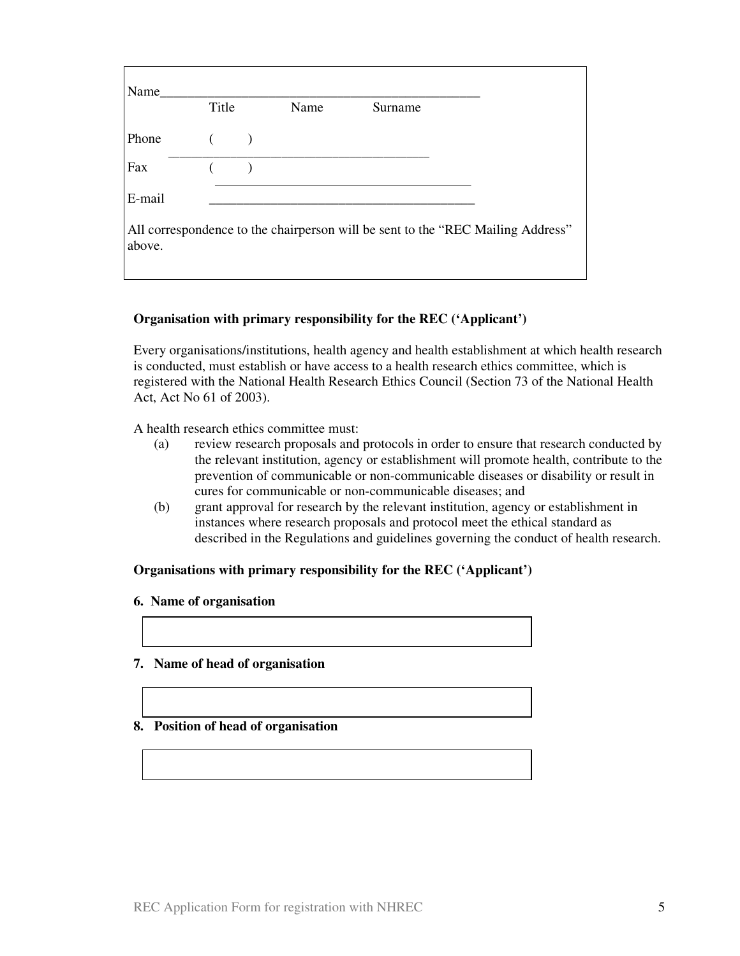| Name   | Title | Name | Surname |                                                                                 |
|--------|-------|------|---------|---------------------------------------------------------------------------------|
| Phone  |       |      |         |                                                                                 |
| Fax    |       |      |         |                                                                                 |
| E-mail |       |      |         |                                                                                 |
| above. |       |      |         | All correspondence to the chairperson will be sent to the "REC Mailing Address" |

## **Organisation with primary responsibility for the REC ('Applicant')**

Every organisations/institutions, health agency and health establishment at which health research is conducted, must establish or have access to a health research ethics committee, which is registered with the National Health Research Ethics Council (Section 73 of the National Health Act, Act No 61 of 2003).

A health research ethics committee must:

- (a) review research proposals and protocols in order to ensure that research conducted by the relevant institution, agency or establishment will promote health, contribute to the prevention of communicable or non-communicable diseases or disability or result in cures for communicable or non-communicable diseases; and
- (b) grant approval for research by the relevant institution, agency or establishment in instances where research proposals and protocol meet the ethical standard as described in the Regulations and guidelines governing the conduct of health research.

#### **Organisations with primary responsibility for the REC ('Applicant')**

#### **6. Name of organisation**

#### **7. Name of head of organisation**

#### **8. Position of head of organisation**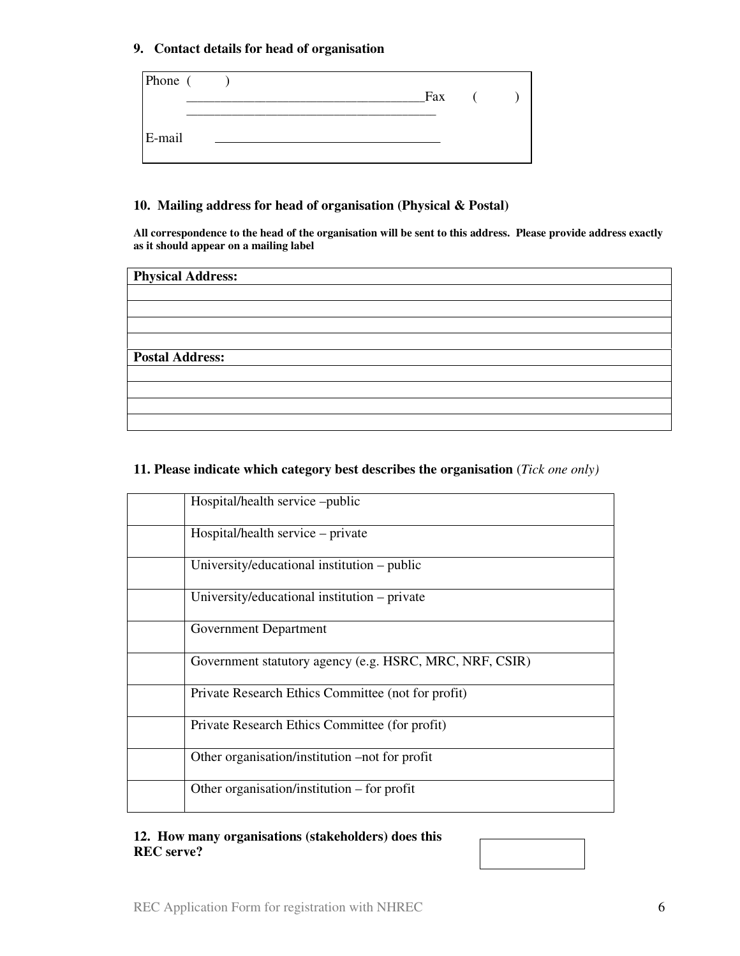## **9. Contact details for head of organisation**

| Phone ( |  |  | Fax |  |  |
|---------|--|--|-----|--|--|
| E-mail  |  |  |     |  |  |

## **10. Mailing address for head of organisation (Physical & Postal)**

**All correspondence to the head of the organisation will be sent to this address. Please provide address exactly as it should appear on a mailing label** 

| <b>Physical Address:</b> |  |
|--------------------------|--|
|                          |  |
|                          |  |
|                          |  |
|                          |  |
| <b>Postal Address:</b>   |  |
|                          |  |
|                          |  |
|                          |  |
|                          |  |

# **11. Please indicate which category best describes the organisation** (*Tick one only)*

| Hospital/health service -public                         |
|---------------------------------------------------------|
| Hospital/health service – private                       |
| University/educational institution – public             |
| University/educational institution – private            |
| Government Department                                   |
| Government statutory agency (e.g. HSRC, MRC, NRF, CSIR) |
| Private Research Ethics Committee (not for profit)      |
| Private Research Ethics Committee (for profit)          |
| Other organisation/institution –not for profit          |
| Other organisation/institution $-$ for profit           |

# **12. How many organisations (stakeholders) does this REC serve?**

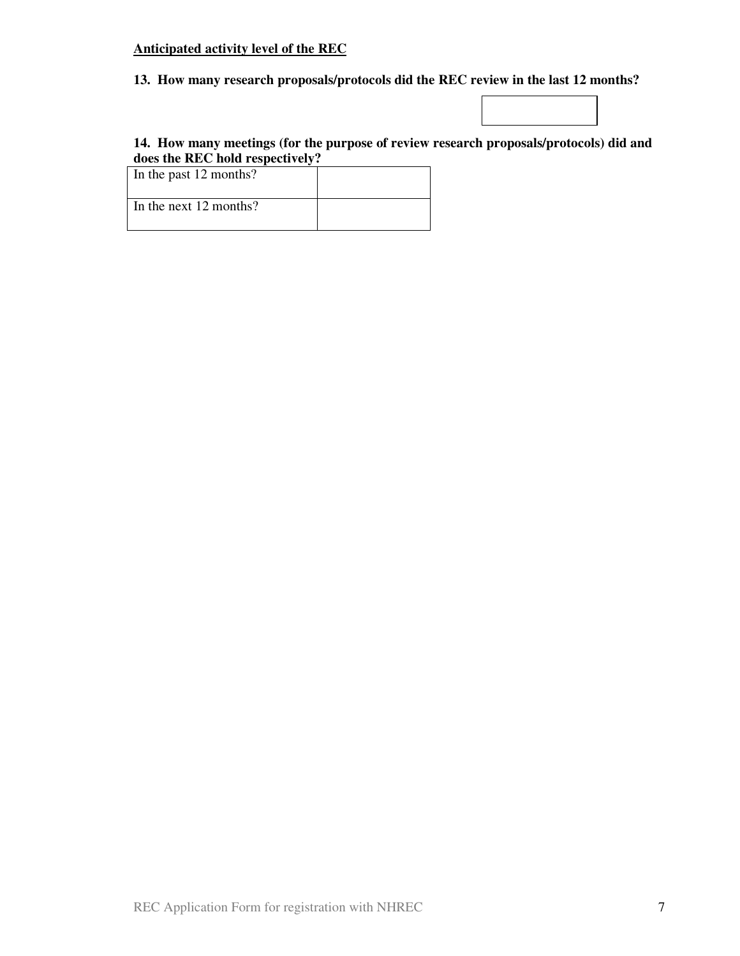# **Anticipated activity level of the REC**

# **13. How many research proposals/protocols did the REC review in the last 12 months?**

# **14. How many meetings (for the purpose of review research proposals/protocols) did and does the REC hold respectively?**

| In the past 12 months?   |  |
|--------------------------|--|
| In the next $12$ months? |  |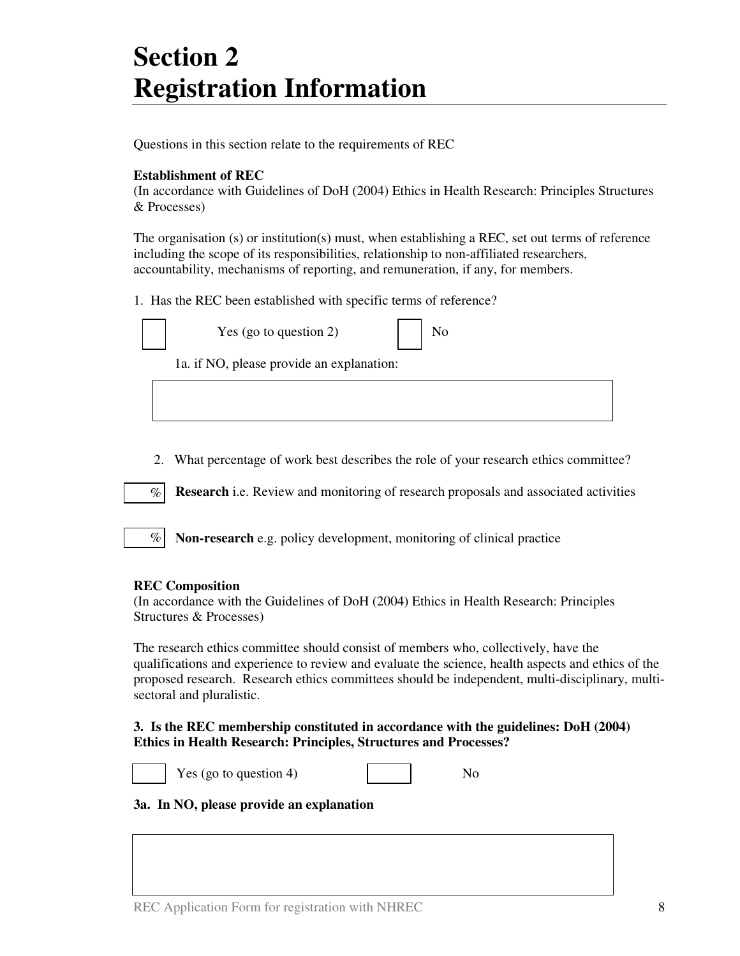# **Section 2 Registration Information**

Questions in this section relate to the requirements of REC

# **Establishment of REC**

(In accordance with Guidelines of DoH (2004) Ethics in Health Research: Principles Structures & Processes)

The organisation (s) or institution(s) must, when establishing a REC, set out terms of reference including the scope of its responsibilities, relationship to non-affiliated researchers, accountability, mechanisms of reporting, and remuneration, if any, for members.

1. Has the REC been established with specific terms of reference?



Yes (go to question  $2$ )

1a. if NO, please provide an explanation:

2. What percentage of work best describes the role of your research ethics committee?

**Research** i.e. Review and monitoring of research proposals and associated activities  $%$ 

**Non-research** e.g. policy development, monitoring of clinical practice

#### **REC Composition**

 $\%$ 

(In accordance with the Guidelines of DoH (2004) Ethics in Health Research: Principles Structures & Processes)

The research ethics committee should consist of members who, collectively, have the qualifications and experience to review and evaluate the science, health aspects and ethics of the proposed research. Research ethics committees should be independent, multi-disciplinary, multisectoral and pluralistic.

## **3. Is the REC membership constituted in accordance with the guidelines: DoH (2004) Ethics in Health Research: Principles, Structures and Processes?**



Yes (go to question 4)  $\log_2 4$  No

# **3a. In NO, please provide an explanation**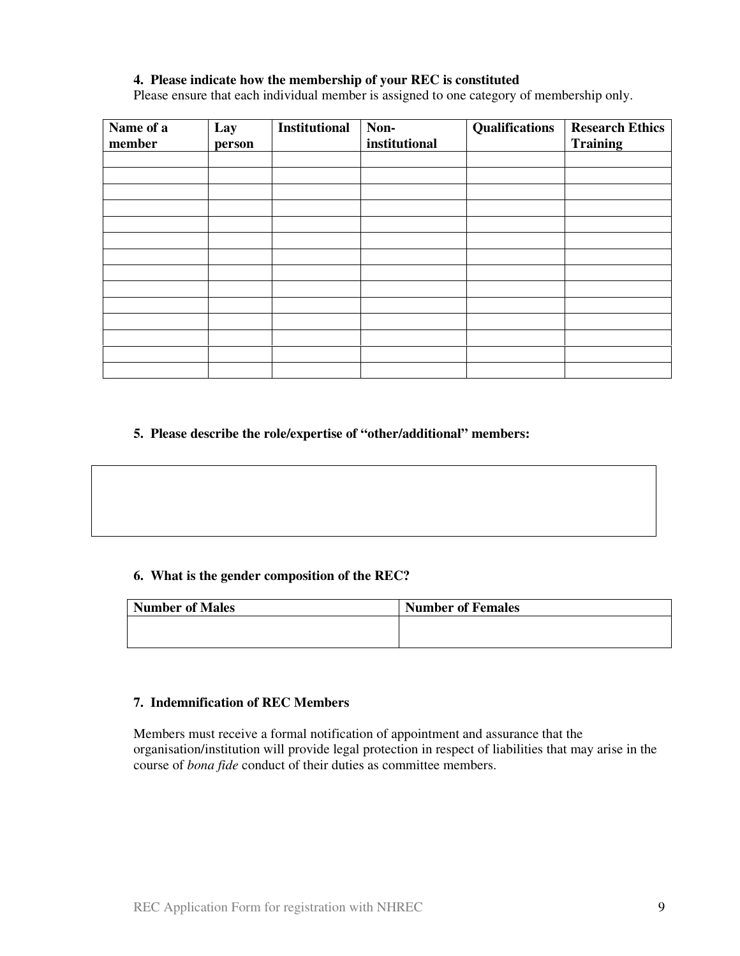## **4. Please indicate how the membership of your REC is constituted**

Please ensure that each individual member is assigned to one category of membership only.

| Name of a<br>member | Lay<br>person | <b>Institutional</b> | Non-<br>institutional | Qualifications | <b>Research Ethics</b><br><b>Training</b> |
|---------------------|---------------|----------------------|-----------------------|----------------|-------------------------------------------|
|                     |               |                      |                       |                |                                           |
|                     |               |                      |                       |                |                                           |
|                     |               |                      |                       |                |                                           |
|                     |               |                      |                       |                |                                           |
|                     |               |                      |                       |                |                                           |
|                     |               |                      |                       |                |                                           |
|                     |               |                      |                       |                |                                           |
|                     |               |                      |                       |                |                                           |
|                     |               |                      |                       |                |                                           |
|                     |               |                      |                       |                |                                           |
|                     |               |                      |                       |                |                                           |
|                     |               |                      |                       |                |                                           |
|                     |               |                      |                       |                |                                           |
|                     |               |                      |                       |                |                                           |

## **5. Please describe the role/expertise of "other/additional" members:**

#### **6. What is the gender composition of the REC?**

| <b>Number of Males</b> | <b>Number of Females</b> |
|------------------------|--------------------------|
|                        |                          |
|                        |                          |

# **7. Indemnification of REC Members**

Members must receive a formal notification of appointment and assurance that the organisation/institution will provide legal protection in respect of liabilities that may arise in the course of *bona fide* conduct of their duties as committee members.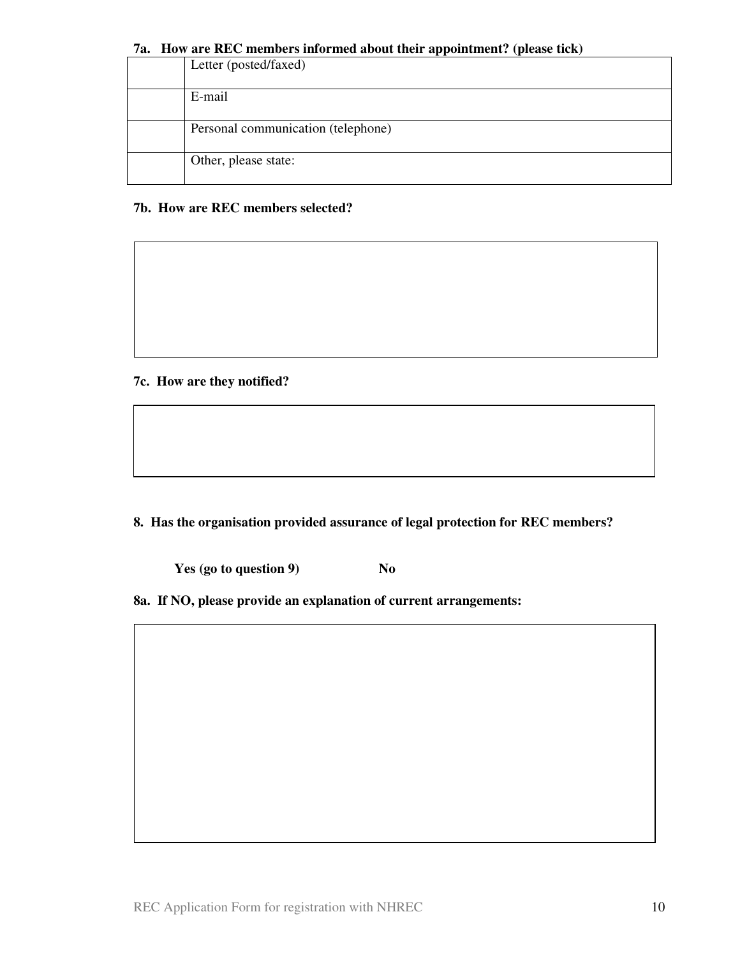#### **7a. How are REC members informed about their appointment? (please tick)**

| Letter (posted/faxed)              |
|------------------------------------|
| E-mail                             |
| Personal communication (telephone) |
| Other, please state:               |

# **7b. How are REC members selected?**

# **7c. How are they notified?**

**8. Has the organisation provided assurance of legal protection for REC members?** 

**Yes (go to question 9)** No

**8a. If NO, please provide an explanation of current arrangements:**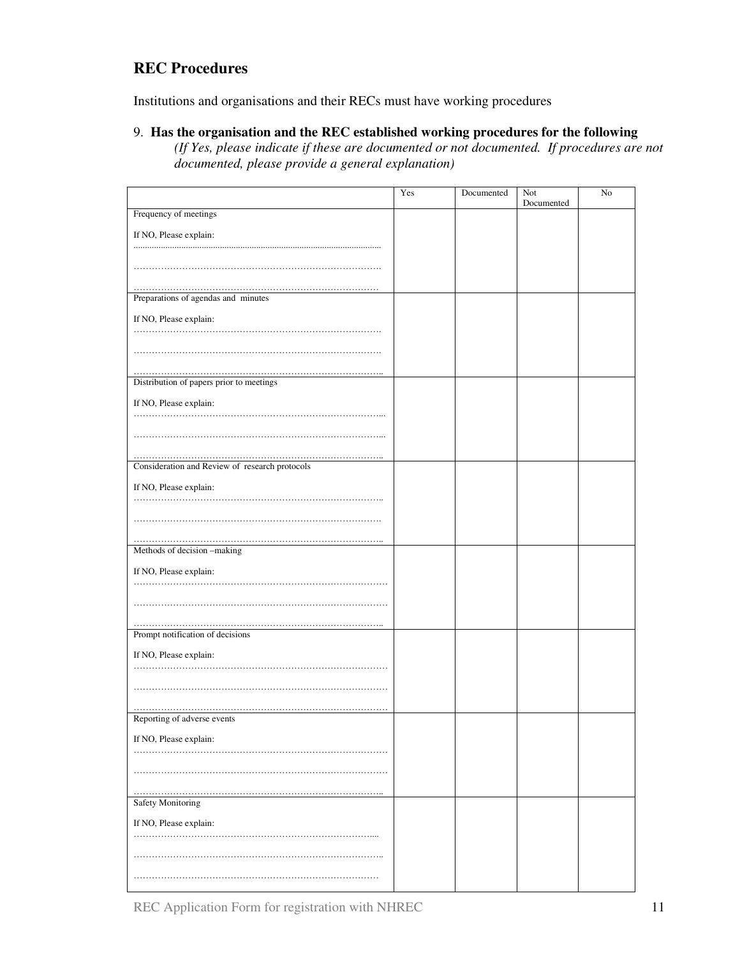# **REC Procedures**

Institutions and organisations and their RECs must have working procedures

#### 9. **Has the organisation and the REC established working procedures for the following**

*(If Yes, please indicate if these are documented or not documented. If procedures are not documented, please provide a general explanation)* 

|                                                | Yes | Documented | Not        | No |
|------------------------------------------------|-----|------------|------------|----|
| Frequency of meetings                          |     |            | Documented |    |
|                                                |     |            |            |    |
| If NO, Please explain:                         |     |            |            |    |
|                                                |     |            |            |    |
|                                                |     |            |            |    |
|                                                |     |            |            |    |
| Preparations of agendas and minutes            |     |            |            |    |
| If NO, Please explain:                         |     |            |            |    |
|                                                |     |            |            |    |
|                                                |     |            |            |    |
|                                                |     |            |            |    |
| Distribution of papers prior to meetings       |     |            |            |    |
|                                                |     |            |            |    |
| If NO, Please explain:                         |     |            |            |    |
|                                                |     |            |            |    |
|                                                |     |            |            |    |
|                                                |     |            |            |    |
| Consideration and Review of research protocols |     |            |            |    |
| If NO, Please explain:                         |     |            |            |    |
|                                                |     |            |            |    |
|                                                |     |            |            |    |
|                                                |     |            |            |    |
| Methods of decision -making                    |     |            |            |    |
|                                                |     |            |            |    |
| If NO, Please explain:                         |     |            |            |    |
|                                                |     |            |            |    |
|                                                |     |            |            |    |
|                                                |     |            |            |    |
| Prompt notification of decisions               |     |            |            |    |
| If NO, Please explain:                         |     |            |            |    |
|                                                |     |            |            |    |
|                                                |     |            |            |    |
|                                                |     |            |            |    |
| Reporting of adverse events                    |     |            |            |    |
|                                                |     |            |            |    |
| If NO, Please explain:                         |     |            |            |    |
|                                                |     |            |            |    |
|                                                |     |            |            |    |
|                                                |     |            |            |    |
| Safety Monitoring                              |     |            |            |    |
| If NO, Please explain:                         |     |            |            |    |
|                                                |     |            |            |    |
|                                                |     |            |            |    |
|                                                |     |            |            |    |
|                                                |     |            |            |    |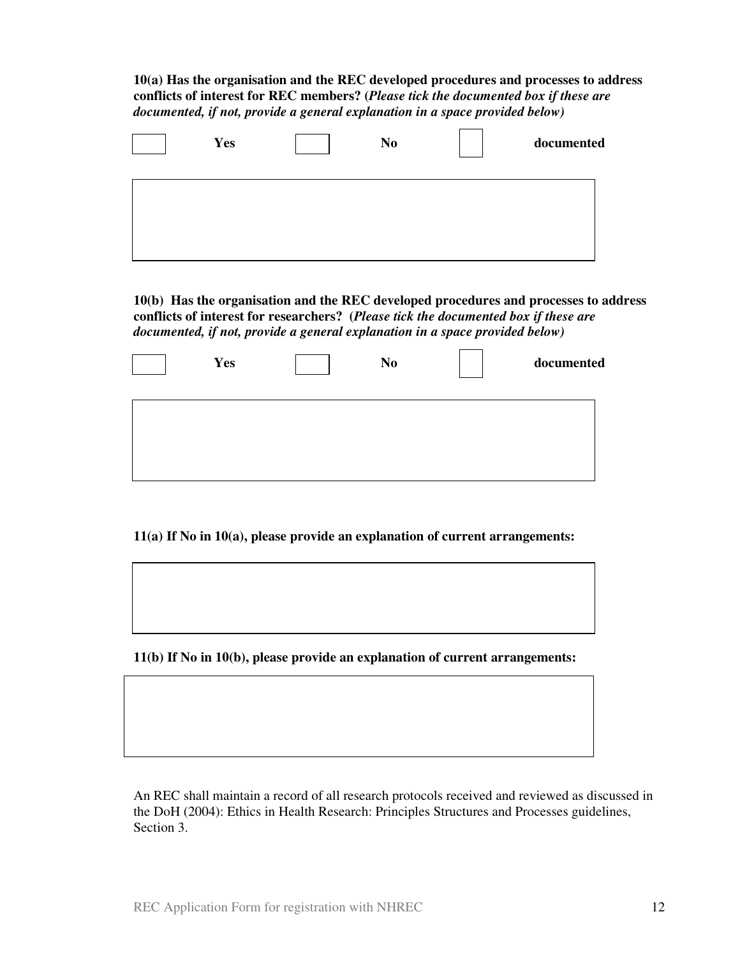**10(a) Has the organisation and the REC developed procedures and processes to address conflicts of interest for REC members? (***Please tick the documented box if these are documented, if not, provide a general explanation in a space provided below)* 

| Yes | N <sub>0</sub> | documented |
|-----|----------------|------------|
|     |                |            |
|     |                |            |

**10(b) Has the organisation and the REC developed procedures and processes to address conflicts of interest for researchers? (***Please tick the documented box if these are documented, if not, provide a general explanation in a space provided below)* 

| Yes | N <sub>0</sub> | documented |
|-----|----------------|------------|
|     |                |            |
|     |                |            |

**11(a) If No in 10(a), please provide an explanation of current arrangements:** 

**11(b) If No in 10(b), please provide an explanation of current arrangements:** 

An REC shall maintain a record of all research protocols received and reviewed as discussed in the DoH (2004): Ethics in Health Research: Principles Structures and Processes guidelines, Section 3.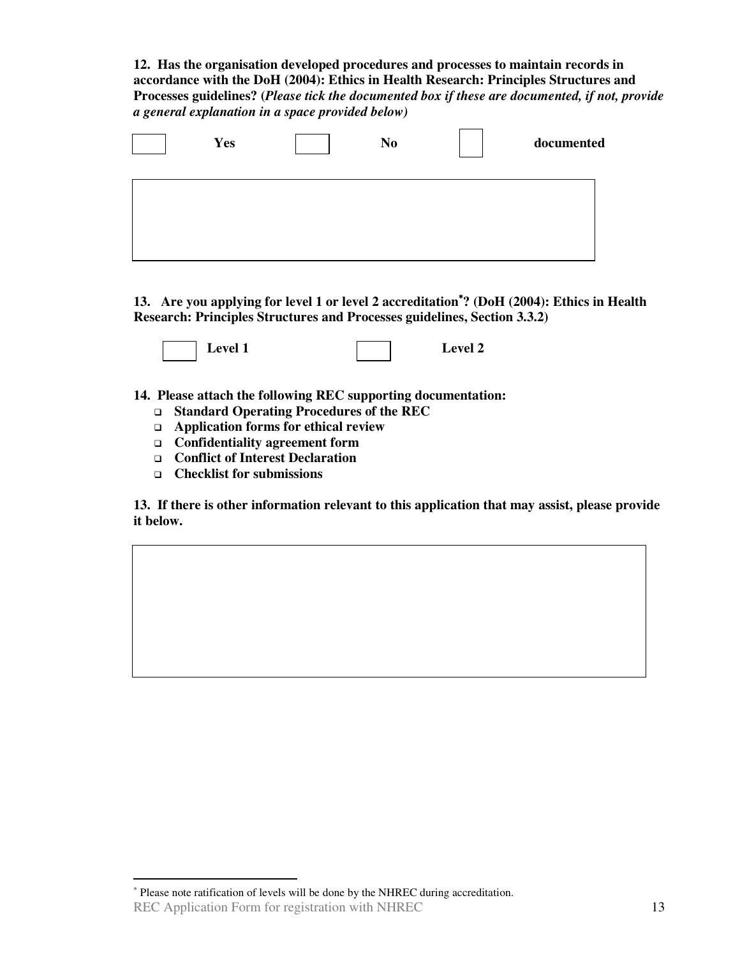**12. Has the organisation developed procedures and processes to maintain records in accordance with the DoH (2004): Ethics in Health Research: Principles Structures and Processes guidelines? (***Please tick the documented box if these are documented, if not, provide a general explanation in a space provided below)* 

| <b>Yes</b> | N <sub>0</sub> | documented |
|------------|----------------|------------|
|            |                |            |
|            |                |            |

**13. Are you applying for level 1 or level 2 accreditation**<sup>∗</sup>**? (DoH (2004): Ethics in Health Research: Principles Structures and Processes guidelines, Section 3.3.2)** 



**14. Please attach the following REC supporting documentation:** 

- **Standard Operating Procedures of the REC**
- **Application forms for ethical review**
- **Confidentiality agreement form**
- **Conflict of Interest Declaration**
- **Checklist for submissions**

-

**13. If there is other information relevant to this application that may assist, please provide it below.** 

REC Application Form for registration with NHREC 13 ∗ Please note ratification of levels will be done by the NHREC during accreditation.